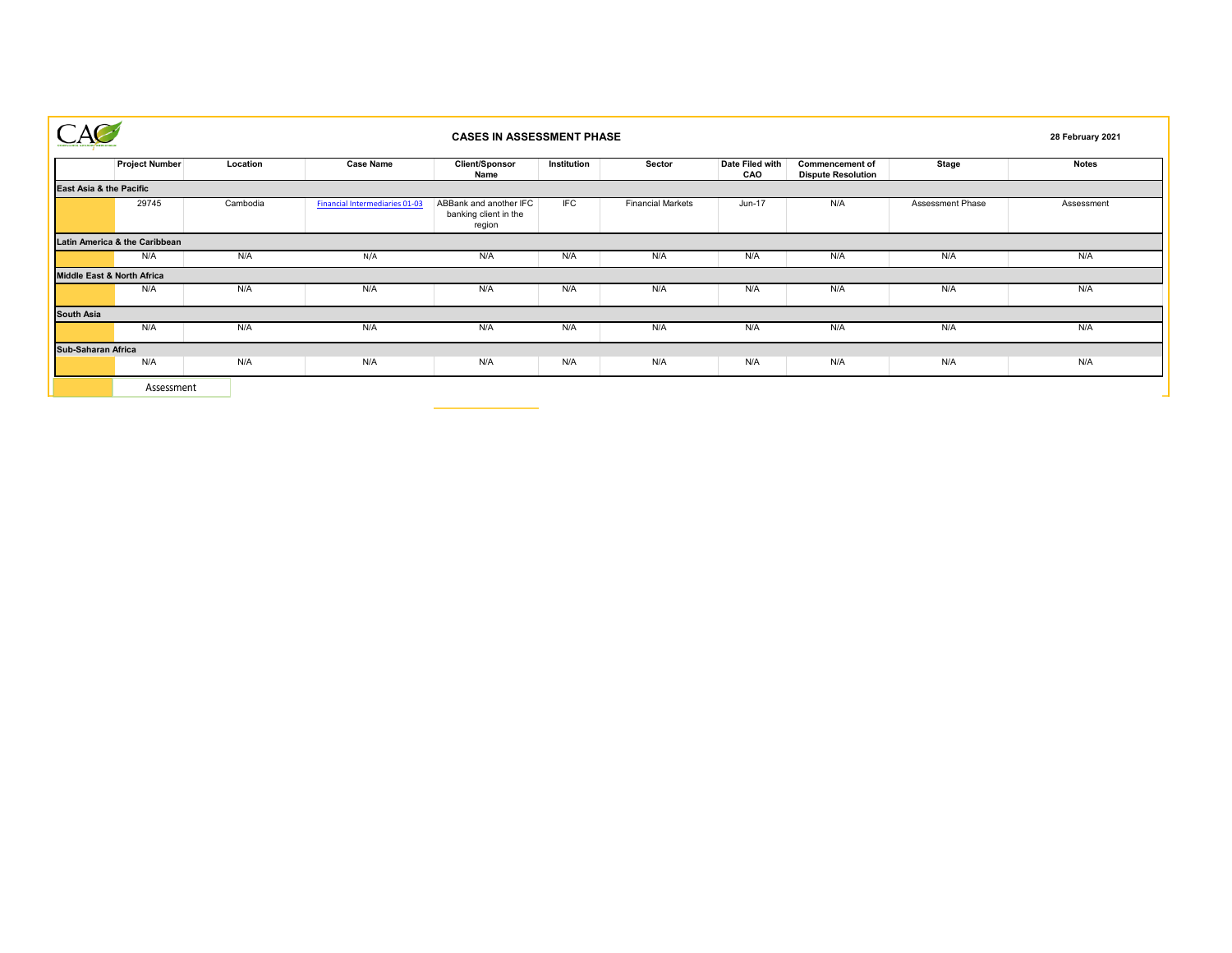|                           |                               |          |                                       | 28 February 2021                                          |             |                          |                        |                                                     |                  |              |
|---------------------------|-------------------------------|----------|---------------------------------------|-----------------------------------------------------------|-------------|--------------------------|------------------------|-----------------------------------------------------|------------------|--------------|
|                           | <b>Project Number</b>         | Location | <b>Case Name</b>                      | Client/Sponsor<br>Name                                    | Institution | Sector                   | Date Filed with<br>CAO | <b>Commencement of</b><br><b>Dispute Resolution</b> | <b>Stage</b>     | <b>Notes</b> |
| East Asia & the Pacific   |                               |          |                                       |                                                           |             |                          |                        |                                                     |                  |              |
|                           | 29745                         | Cambodia | <b>Financial Intermediaries 01-03</b> | ABBank and another IFC<br>banking client in the<br>region | <b>IFC</b>  | <b>Financial Markets</b> | Jun-17                 | N/A                                                 | Assessment Phase | Assessment   |
|                           | Latin America & the Caribbean |          |                                       |                                                           |             |                          |                        |                                                     |                  |              |
|                           | N/A                           | N/A      | N/A                                   | N/A                                                       | N/A         | N/A                      | N/A                    | N/A                                                 | N/A              | N/A          |
|                           | Middle East & North Africa    |          |                                       |                                                           |             |                          |                        |                                                     |                  |              |
|                           | N/A                           | N/A      | N/A                                   | N/A                                                       | N/A         | N/A                      | N/A                    | N/A                                                 | N/A              | N/A          |
| South Asia                |                               |          |                                       |                                                           |             |                          |                        |                                                     |                  |              |
|                           | N/A                           | N/A      | N/A                                   | N/A                                                       | N/A         | N/A                      | N/A                    | N/A                                                 | N/A              | N/A          |
| <b>Sub-Saharan Africa</b> |                               |          |                                       |                                                           |             |                          |                        |                                                     |                  |              |
|                           | N/A                           | N/A      | N/A                                   | N/A                                                       | N/A         | N/A                      | N/A                    | N/A                                                 | N/A              | N/A          |
|                           | Assessment                    |          |                                       |                                                           |             |                          |                        |                                                     |                  |              |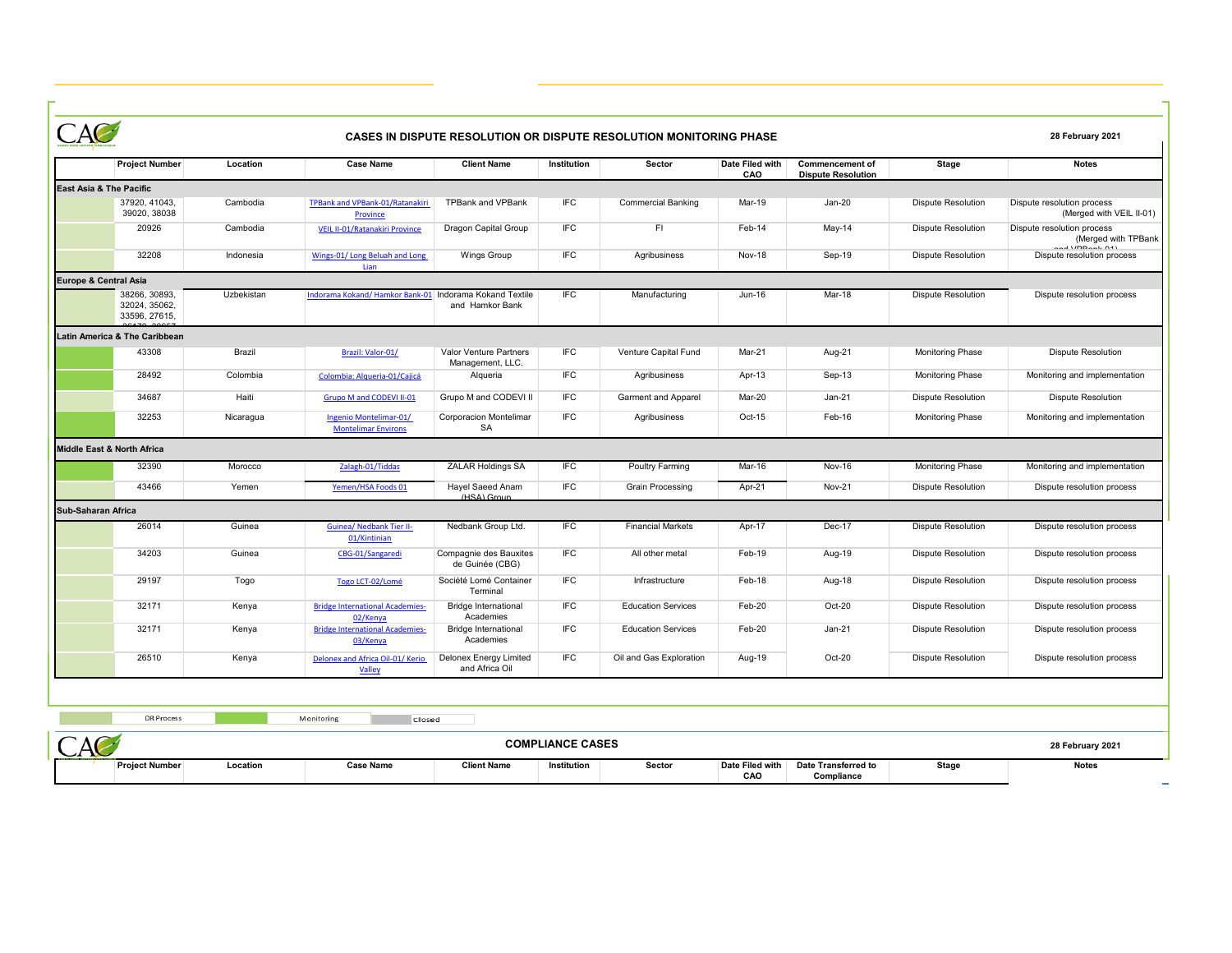|                            |                                                 |            |                                                      |                                            |                         | CASES IN DISPUTE RESOLUTION OR DISPUTE RESOLUTION MONITORING PHASE |                        |                                                     |                           | 28 February 2021                                                            |
|----------------------------|-------------------------------------------------|------------|------------------------------------------------------|--------------------------------------------|-------------------------|--------------------------------------------------------------------|------------------------|-----------------------------------------------------|---------------------------|-----------------------------------------------------------------------------|
|                            | <b>Project Number</b>                           | Location   | <b>Case Name</b>                                     | <b>Client Name</b>                         | Institution             | Sector                                                             | Date Filed with<br>CAO | <b>Commencement of</b><br><b>Dispute Resolution</b> | <b>Stage</b>              | <b>Notes</b>                                                                |
| East Asia & The Pacific    |                                                 |            |                                                      |                                            |                         |                                                                    |                        |                                                     |                           |                                                                             |
|                            | 37920, 41043.<br>39020, 38038                   | Cambodia   | <b>TPBank and VPBank-01/Ratanakiri</b><br>Province   | <b>TPBank and VPBank</b>                   | IFC                     | <b>Commercial Banking</b>                                          | Mar-19                 | Jan-20                                              | <b>Dispute Resolution</b> | Dispute resolution process<br>(Merged with VEIL II-01)                      |
|                            | 20926                                           | Cambodia   | VEIL II-01/Ratanakiri Province                       | Dragon Capital Group                       | IFC                     | FI.                                                                | Feb-14                 | May-14                                              | <b>Dispute Resolution</b> | Dispute resolution process<br>(Merged with TPBank<br>$J$ Unneal, $\Delta J$ |
|                            | 32208                                           | Indonesia  | Wings-01/Long Beluah and Long<br>lian                | <b>Wings Group</b>                         | IFC                     | Agribusiness                                                       | Nov-18                 | Sep-19                                              | <b>Dispute Resolution</b> | Dispute resolution process                                                  |
| Europe & Central Asia      |                                                 |            |                                                      |                                            |                         |                                                                    |                        |                                                     |                           |                                                                             |
|                            | 38266, 30893,<br>32024, 35062,<br>33596, 27615, | Uzbekistan | Indorama Kokand/Hamkor Bank-01                       | Indorama Kokand Textile<br>and Hamkor Bank | <b>IEC</b>              | Manufacturing                                                      | Jun-16                 | Mar-18                                              | <b>Dispute Resolution</b> | Dispute resolution process                                                  |
|                            | Latin America & The Caribbean                   |            |                                                      |                                            |                         |                                                                    |                        |                                                     |                           |                                                                             |
|                            | 43308                                           | Brazil     | Brazil: Valor-01/                                    | Valor Venture Partners<br>Management, LLC. | IFC                     | Venture Capital Fund                                               | Mar-21                 | Aug-21                                              | <b>Monitoring Phase</b>   | <b>Dispute Resolution</b>                                                   |
|                            | 28492                                           | Colombia   | Colombia: Alqueria-01/Cajicá                         | Alqueria                                   | IFC                     | Agribusiness                                                       | Apr-13                 | Sep-13                                              | <b>Monitoring Phase</b>   | Monitoring and implementation                                               |
|                            | 34687                                           | Haiti      | Grupo M and CODEVI II-01                             | Grupo M and CODEVI II                      | IFC                     | Garment and Apparel                                                | Mar-20                 | Jan-21                                              | <b>Dispute Resolution</b> | <b>Dispute Resolution</b>                                                   |
|                            | 32253                                           | Nicaragua  | Ingenio Montelimar-01/<br><b>Montelimar Environs</b> | Corporacion Montelimar<br>SA               | <b>IFC</b>              | Agribusiness                                                       | Oct-15                 | Feb-16                                              | <b>Monitoring Phase</b>   | Monitoring and implementation                                               |
| Middle East & North Africa |                                                 |            |                                                      |                                            |                         |                                                                    |                        |                                                     |                           |                                                                             |
|                            | 32390                                           | Morocco    | Zalagh-01/Tiddas                                     | <b>ZALAR Holdings SA</b>                   | IFC                     | Poultry Farming                                                    | Mar-16                 | Nov-16                                              | Monitoring Phase          | Monitoring and implementation                                               |
|                            | 43466                                           | Yemen      | Yemen/HSA Foods 01                                   | Hayel Saeed Anam<br>(HSA) Group            | IFC                     | <b>Grain Processing</b>                                            | Apr-21                 | <b>Nov-21</b>                                       | <b>Dispute Resolution</b> | Dispute resolution process                                                  |
| Sub-Saharan Africa         |                                                 |            |                                                      |                                            |                         |                                                                    |                        |                                                     |                           |                                                                             |
|                            | 26014                                           | Guinea     | <b>Guinea/ Nedbank Tier II-</b><br>01/Kintinian      | Nedbank Group Ltd.                         | IFC                     | <b>Financial Markets</b>                                           | Apr-17                 | Dec-17                                              | <b>Dispute Resolution</b> | Dispute resolution process                                                  |
|                            | 34203                                           | Guinea     | CBG-01/Sangaredi                                     | Compagnie des Bauxites<br>de Guinée (CBG)  | <b>IFC</b>              | All other metal                                                    | Feb-19                 | Aug-19                                              | <b>Dispute Resolution</b> | Dispute resolution process                                                  |
|                            | 29197                                           | Togo       | Togo LCT-02/Lomé                                     | Société Lomé Container<br>Terminal         | <b>IFC</b>              | Infrastructure                                                     | Feb-18                 | Aug-18                                              | <b>Dispute Resolution</b> | Dispute resolution process                                                  |
|                            | 32171                                           | Kenya      | <b>Bridge International Academies-</b><br>02/Kenya   | <b>Bridge International</b><br>Academies   | IFC                     | <b>Education Services</b>                                          | Feb-20                 | Oct-20                                              | <b>Dispute Resolution</b> | Dispute resolution process                                                  |
|                            | 32171                                           | Kenya      | <b>Bridge International Academies-</b><br>03/Kenya   | <b>Bridge International</b><br>Academies   | IFC                     | <b>Education Services</b>                                          | Feb-20                 | $Jan-21$                                            | <b>Dispute Resolution</b> | Dispute resolution process                                                  |
|                            | 26510                                           | Kenya      | Delonex and Africa Oil-01/ Kerio<br>Valley           | Delonex Energy Limited<br>and Africa Oil   | IFC                     | Oil and Gas Exploration                                            | Aug-19                 | Oct-20                                              | <b>Dispute Resolution</b> | Dispute resolution process                                                  |
|                            |                                                 |            |                                                      |                                            |                         |                                                                    |                        |                                                     |                           |                                                                             |
|                            | <b>DR Process</b>                               |            | Monitoring<br>Closed                                 |                                            |                         |                                                                    |                        |                                                     |                           |                                                                             |
|                            |                                                 |            |                                                      |                                            | <b>COMPLIANCE CASES</b> |                                                                    |                        |                                                     |                           | 28 February 2021                                                            |
|                            | <b>Project Number</b>                           | Location   | <b>Case Name</b>                                     | <b>Client Name</b>                         | Institution             | Sector                                                             | Date Filed with        | Date Transferred to                                 | <b>Stage</b>              | <b>Notes</b>                                                                |

**CAO**

**Compliance**

 $\overline{a}$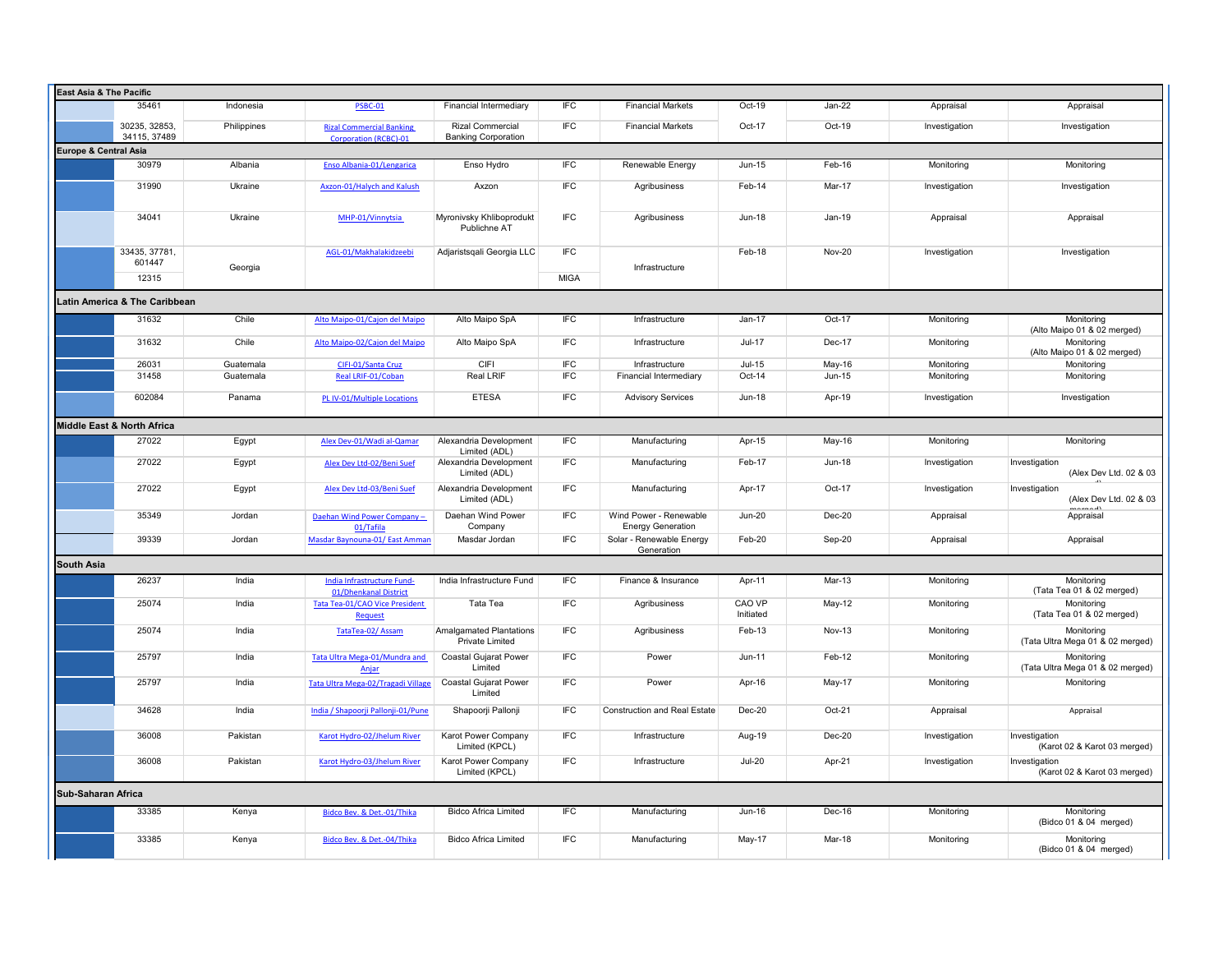|                               | <b>East Asia &amp; The Pacific</b> |             |                                                                    |                                                   |             |                                                    |                     |               |               |                                                |  |
|-------------------------------|------------------------------------|-------------|--------------------------------------------------------------------|---------------------------------------------------|-------------|----------------------------------------------------|---------------------|---------------|---------------|------------------------------------------------|--|
|                               | 35461                              | Indonesia   | <b>PSBC-01</b>                                                     | Financial Intermediary                            | IFC         | <b>Financial Markets</b>                           | Oct-19              | Jan-22        | Appraisal     | Appraisal                                      |  |
|                               | 30235, 32853<br>34115, 37489       | Philippines | <b>Rizal Commercial Banking</b>                                    | <b>Rizal Commercial</b>                           | <b>IFC</b>  | <b>Financial Markets</b>                           | Oct-17              | Oct-19        | Investigation | Investigation                                  |  |
| Europe & Central Asia         |                                    |             | <b>Corporation (RCBC)-01</b>                                       | <b>Banking Corporation</b>                        |             |                                                    |                     |               |               |                                                |  |
|                               | 30979                              | Albania     | Enso Albania-01/Lengarica                                          | Enso Hydro                                        | IFC         | Renewable Energy                                   | Jun-15              | Feb-16        | Monitoring    | Monitoring                                     |  |
|                               |                                    |             |                                                                    |                                                   |             |                                                    |                     |               |               |                                                |  |
|                               | 31990                              | Ukraine     | Axzon-01/Halych and Kalush                                         | Axzon                                             | <b>IFC</b>  | Agribusiness                                       | Feb-14              | Mar-17        | Investigation | Investigation                                  |  |
|                               | 34041                              | Ukraine     | MHP-01/Vinnytsia                                                   | Myronivsky Khliboprodukt<br>Publichne AT          | <b>IFC</b>  | Agribusiness                                       | <b>Jun-18</b>       | Jan-19        | Appraisal     | Appraisal                                      |  |
|                               | 33435, 37781,<br>601447            | Georgia     | AGL-01/Makhalakidzeebi                                             | Adjaristsqali Georgia LLC                         | <b>IFC</b>  | Infrastructure                                     | Feb-18              | Nov-20        | Investigation | Investigation                                  |  |
|                               | 12315                              |             |                                                                    |                                                   | <b>MIGA</b> |                                                    |                     |               |               |                                                |  |
| Latin America & The Caribbean |                                    |             |                                                                    |                                                   |             |                                                    |                     |               |               |                                                |  |
|                               | 31632                              | Chile       | Alto Maipo-01/Cajon del Maipo                                      | Alto Maipo SpA                                    | IFC         | Infrastructure                                     | Jan-17              | Oct-17        | Monitoring    | Monitoring                                     |  |
|                               |                                    |             |                                                                    |                                                   |             |                                                    |                     |               |               | (Alto Maipo 01 & 02 merged)                    |  |
|                               | 31632                              | Chile       | Alto Maipo-02/Cajon del Maipo                                      | Alto Maipo SpA                                    | <b>IFC</b>  | Infrastructure                                     | $Jul-17$            | Dec-17        | Monitoring    | Monitoring<br>(Alto Maipo 01 & 02 merged)      |  |
|                               | 26031                              | Guatemala   | CIFI-01/Santa Cruz                                                 | CIFI                                              | <b>IFC</b>  | Infrastructure                                     | $Jul-15$            | May-16        | Monitoring    | Monitoring                                     |  |
|                               | 31458                              | Guatemala   | Real LRIF-01/Coban                                                 | Real LRIF                                         | <b>IFC</b>  | Financial Intermediary                             | Oct-14              | Jun-15        | Monitoring    | Monitoring                                     |  |
|                               |                                    |             |                                                                    |                                                   |             |                                                    |                     |               |               |                                                |  |
|                               | 602084                             | Panama      | PL IV-01/Multiple Locations                                        | <b>ETESA</b>                                      | <b>IFC</b>  | <b>Advisory Services</b>                           | Jun-18              | Apr-19        | Investigation | Investigation                                  |  |
|                               | Middle East & North Africa         |             |                                                                    |                                                   |             |                                                    |                     |               |               |                                                |  |
|                               | 27022                              | Egypt       | Alex Dev-01/Wadi al-Qamar                                          | Alexandria Development<br>Limited (ADL)           | IFC         | Manufacturing                                      | Apr-15              | May-16        | Monitoring    | Monitoring                                     |  |
|                               | 27022                              | Egypt       | Alex Dev Ltd-02/Beni Suef                                          | Alexandria Development<br>Limited (ADL)           | <b>IFC</b>  | Manufacturing                                      | Feb-17              | <b>Jun-18</b> | Investigation | Investigation<br>(Alex Dev Ltd. 02 & 03        |  |
|                               | 27022                              | Egypt       | Alex Dev Ltd-03/Beni Suef                                          | Alexandria Development<br>Limited (ADL)           | <b>IFC</b>  | Manufacturing                                      | Apr-17              | Oct-17        | Investigation | Investigation<br>(Alex Dev Ltd. 02 & 03        |  |
|                               | 35349                              | Jordan      | Daehan Wind Power Company -<br>01/Tafila                           | Daehan Wind Power<br>Company                      | <b>IFC</b>  | Wind Power - Renewable<br><b>Energy Generation</b> | <b>Jun-20</b>       | Dec-20        | Appraisal     | المممعم<br>Appraisal                           |  |
|                               | 39339                              | Jordan      | Masdar Baynouna-01/East Amman                                      | Masdar Jordan                                     | <b>IFC</b>  | Solar - Renewable Energy<br>Generation             | Feb-20              | Sep-20        | Appraisal     | Appraisal                                      |  |
| South Asia                    |                                    |             |                                                                    |                                                   |             |                                                    |                     |               |               |                                                |  |
|                               | 26237                              | India       | India Infrastructure Fund-                                         | India Infrastructure Fund                         | <b>IFC</b>  | Finance & Insurance                                | Apr-11              | Mar-13        | Monitoring    | Monitoring<br>(Tata Tea 01 & 02 merged)        |  |
|                               | 25074                              | India       | 01/Dhenkanal District<br>Tata Tea-01/CAO Vice President<br>Request | Tata Tea                                          | <b>IFC</b>  | Agribusiness                                       | CAO VP<br>Initiated | May-12        | Monitoring    | Monitoring<br>(Tata Tea 01 & 02 merged)        |  |
|                               | 25074                              | India       | TataTea-02/Assam                                                   | Amalgamated Plantations<br><b>Private Limited</b> | <b>IFC</b>  | Agribusiness                                       | Feb-13              | <b>Nov-13</b> | Monitoring    | Monitoring<br>(Tata Ultra Mega 01 & 02 merged) |  |
|                               | 25797                              | India       | Tata Ultra Mega-01/Mundra and                                      | Coastal Gujarat Power<br>Limited                  | <b>IFC</b>  | Power                                              | Jun-11              | Feb-12        | Monitoring    | Monitoring                                     |  |
|                               | 25797                              | India       | Anjar<br>Tata Ultra Mega-02/Tragadi Village                        | Coastal Gujarat Power                             | <b>IFC</b>  | Power                                              | Apr-16              | May-17        | Monitoring    | (Tata Ultra Mega 01 & 02 merged)<br>Monitoring |  |
|                               | 34628                              | India       | India / Shapoorji Pallonji-01/Pune                                 | Limited<br>Shapoorji Pallonji                     | <b>IFC</b>  | <b>Construction and Real Estate</b>                | $Dec-20$            | Oct-21        | Appraisal     | Appraisal                                      |  |
|                               |                                    |             |                                                                    |                                                   |             |                                                    |                     |               |               |                                                |  |
|                               | 36008                              | Pakistan    | Karot Hydro-02/Jhelum River                                        | Karot Power Company<br>Limited (KPCL)             | <b>IFC</b>  | Infrastructure                                     | Aug-19              | Dec-20        | Investigation | Investigation<br>(Karot 02 & Karot 03 merged)  |  |
|                               | 36008                              | Pakistan    | Karot Hydro-03/Jhelum River                                        | Karot Power Company<br>Limited (KPCL)             | <b>IFC</b>  | Infrastructure                                     | <b>Jul-20</b>       | Apr-21        | Investigation | Investigation<br>(Karot 02 & Karot 03 merged)  |  |
|                               | <b>Sub-Saharan Africa</b>          |             |                                                                    |                                                   |             |                                                    |                     |               |               |                                                |  |
|                               | 33385                              | Kenya       | Bidco Bev. & Det.-01/Thika                                         | <b>Bidco Africa Limited</b>                       | <b>IFC</b>  | Manufacturing                                      | Jun-16              | Dec-16        | Monitoring    | Monitoring<br>(Bidco 01 & 04 merged)           |  |
|                               | 33385                              | Kenya       | Bidco Bev. & Det.-04/Thika                                         | <b>Bidco Africa Limited</b>                       | <b>IFC</b>  | Manufacturing                                      | May-17              | Mar-18        | Monitoring    | Monitoring<br>(Bidco 01 & 04 merged)           |  |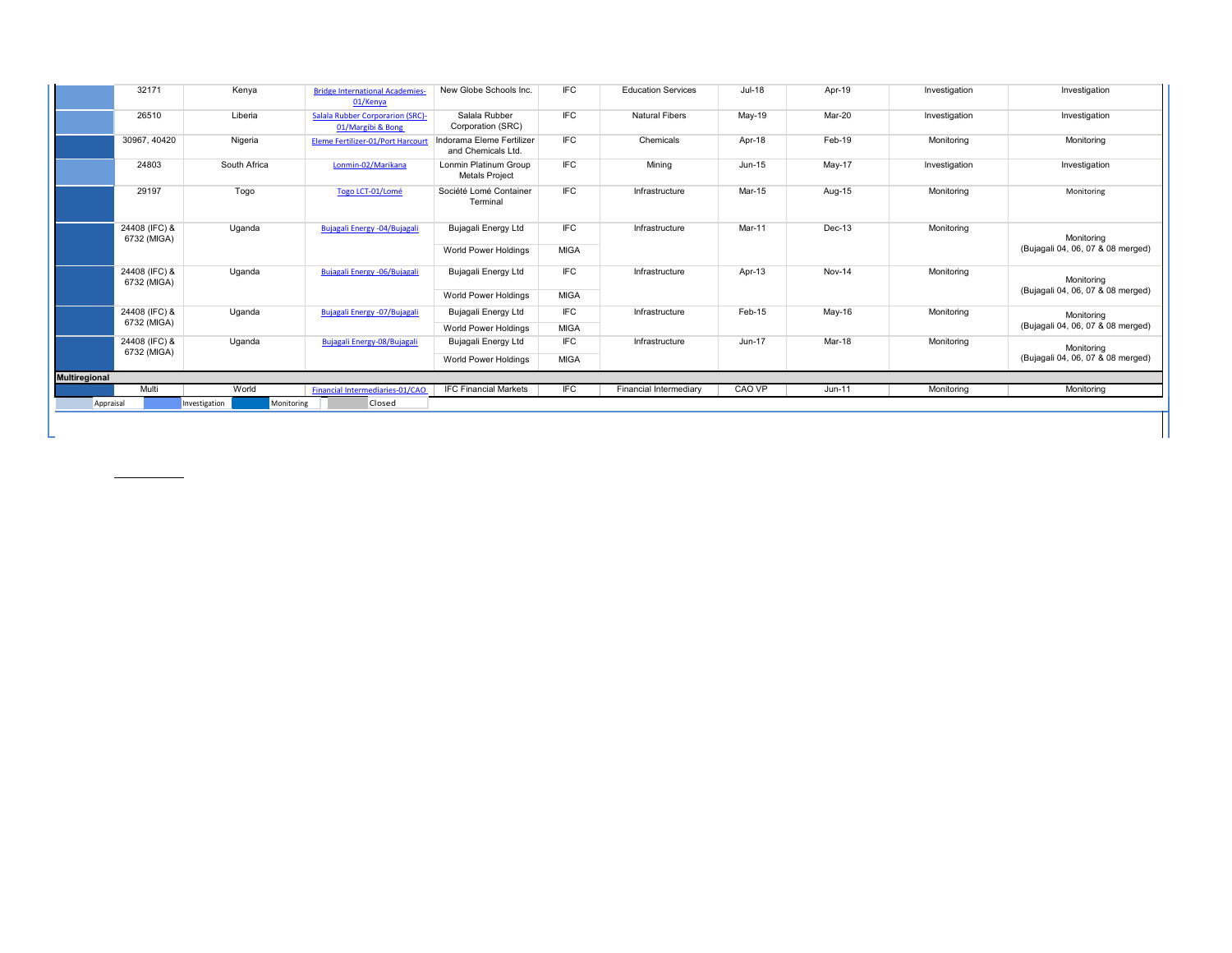|                      | 32171                        | Kenya         | <b>Bridge International Academies-</b><br>01/Kenya           | New Globe Schools Inc.                          | IFC         | <b>Education Services</b> | <b>Jul-18</b> | Apr-19   | Investigation | Investigation                                   |
|----------------------|------------------------------|---------------|--------------------------------------------------------------|-------------------------------------------------|-------------|---------------------------|---------------|----------|---------------|-------------------------------------------------|
|                      | 26510                        | Liberia       | <b>Salala Rubber Corporarion (SRC)-</b><br>01/Margibi & Bong | Salala Rubber<br>Corporation (SRC)              | <b>IFC</b>  | <b>Natural Fibers</b>     | May-19        | Mar-20   | Investigation | Investigation                                   |
|                      | 30967, 40420                 | Nigeria       | Eleme Fertilizer-01/Port Harcourt                            | Indorama Eleme Fertilizer<br>and Chemicals Ltd. | <b>IFC</b>  | Chemicals                 | Apr-18        | Feb-19   | Monitoring    | Monitoring                                      |
|                      | 24803                        | South Africa  | Lonmin-02/Marikana                                           | Lonmin Platinum Group<br><b>Metals Project</b>  | <b>IFC</b>  | Mining                    | Jun-15        | $May-17$ | Investigation | Investigation                                   |
|                      | 29197                        | Togo          | Togo LCT-01/Lomé                                             | Société Lomé Container<br>Terminal              | <b>IFC</b>  | Infrastructure            | Mar-15        | Aug-15   | Monitoring    | Monitoring                                      |
|                      | 24408 (IFC) &<br>6732 (MIGA) | Uganda        | Bujagali Energy - 04/Bujagali                                | Bujagali Energy Ltd                             | <b>IFC</b>  | Infrastructure            | Mar-11        | Dec-13   | Monitoring    | Monitoring                                      |
|                      |                              |               |                                                              | <b>World Power Holdings</b>                     | <b>MIGA</b> |                           |               |          |               | (Bujagali 04, 06, 07 & 08 merged)               |
|                      | 24408 (IFC) &<br>6732 (MIGA) | Uganda        | Bujagali Energy - 06/Bujagali                                | Bujagali Energy Ltd                             | <b>IFC</b>  | Infrastructure            | Apr-13        | Nov-14   | Monitoring    | Monitoring<br>(Bujagali 04, 06, 07 & 08 merged) |
|                      |                              |               |                                                              | <b>World Power Holdings</b>                     | <b>MIGA</b> |                           |               |          |               |                                                 |
|                      | 24408 (IFC) &                | Uganda        | Bujagali Energy -07/Bujagali                                 | Bujagali Energy Ltd                             | <b>IFC</b>  | Infrastructure            | Feb-15        | May-16   | Monitoring    | Monitoring<br>(Bujagali 04, 06, 07 & 08 merged) |
|                      | 6732 (MIGA)                  |               |                                                              | <b>World Power Holdings</b>                     | <b>MIGA</b> |                           |               |          |               |                                                 |
|                      | 24408 (IFC) &<br>6732 (MIGA) | Uganda        | Bujagali Energy-08/Bujagali                                  | Bujagali Energy Ltd                             | <b>IFC</b>  | Infrastructure            | Jun-17        | Mar-18   | Monitoring    | Monitoring                                      |
|                      |                              |               |                                                              | World Power Holdings                            | <b>MIGA</b> |                           |               |          |               | (Bujagali 04, 06, 07 & 08 merged)               |
| <b>Multiregional</b> |                              |               |                                                              |                                                 |             |                           |               |          |               |                                                 |
|                      | Multi                        | World         | Financial Intermediaries-01/CAO                              | <b>IFC Financial Markets</b>                    | <b>IFC</b>  | Financial Intermediary    | CAO VP        | Jun-11   | Monitoring    | Monitoring                                      |
| Appraisal            |                              | Investigation | Closed<br>Monitoring                                         |                                                 |             |                           |               |          |               |                                                 |
|                      |                              |               |                                                              |                                                 |             |                           |               |          |               |                                                 |
|                      |                              |               |                                                              |                                                 |             |                           |               |          |               |                                                 |